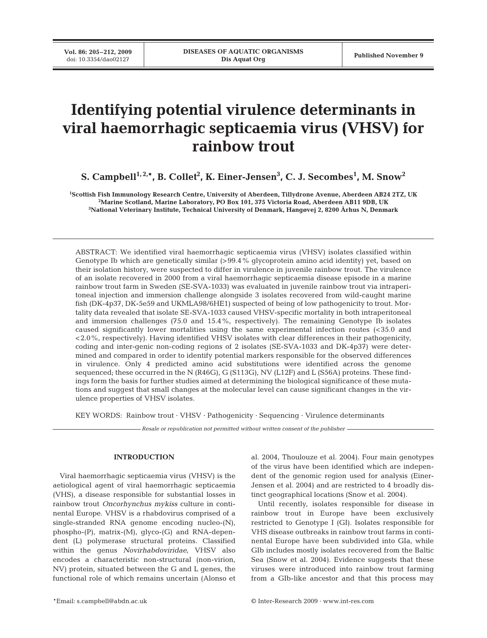**Vol. 86: 205–212, 2009**<br>doi: 10.3354/dao02127

# **Identifying potential virulence determinants in viral haemorrhagic septicaemia virus (VHSV) for rainbow trout**

 ${\bf S.~Campbell}^{1,2,*}, {\bf B.~Collet}^2, {\bf K.~Einer-Jensen}^3, {\bf C.~J.~Secombes}^1, {\bf M.~Show}^2$ 

**1 Scottish Fish Immunology Research Centre, University of Aberdeen, Tillydrone Avenue, Aberdeen AB24 2TZ, UK 2 Marine Scotland, Marine Laboratory, PO Box 101, 375 Victoria Road, Aberdeen AB11 9DB, UK 3 National Veterinary Institute, Technical University of Denmark, Hangøvej 2, 8200 Århus N, Denmark**

ABSTRACT: We identified viral haemorrhagic septicaemia virus (VHSV) isolates classified within Genotype Ib which are genetically similar (>99.4% glycoprotein amino acid identity) yet, based on their isolation history, were suspected to differ in virulence in juvenile rainbow trout. The virulence of an isolate recovered in 2000 from a viral haemorrhagic septicaemia disease episode in a marine rainbow trout farm in Sweden (SE-SVA-1033) was evaluated in juvenile rainbow trout via intraperitoneal injection and immersion challenge alongside 3 isolates recovered from wild-caught marine fish (DK-4p37, DK-5e59 and UKMLA98/6HE1) suspected of being of low pathogenicity to trout. Mortality data revealed that isolate SE-SVA-1033 caused VHSV-specific mortality in both intraperitoneal and immersion challenges (75.0 and 15.4%, respectively). The remaining Genotype Ib isolates caused significantly lower mortalities using the same experimental infection routes (<35.0 and <2.0%, respectively). Having identified VHSV isolates with clear differences in their pathogenicity, coding and inter-genic non-coding regions of 2 isolates (SE-SVA-1033 and DK-4p37) were determined and compared in order to identify potential markers responsible for the observed differences in virulence. Only 4 predicted amino acid substitutions were identified across the genome sequenced; these occurred in the N (R46G), G (S113G), NV (L12F) and L (S56A) proteins. These findings form the basis for further studies aimed at determining the biological significance of these mutations and suggest that small changes at the molecular level can cause significant changes in the virulence properties of VHSV isolates.

KEY WORDS: Rainbow trout · VHSV · Pathogenicity · Sequencing · Virulence determinants

*Resale or republication not permitted without written consent of the publisher*

## **INTRODUCTION**

Viral haemorrhagic septicaemia virus (VHSV) is the aetiological agent of viral haemorrhagic septicaemia (VHS), a disease responsible for substantial losses in rainbow trout *Oncorhynchus mykiss* culture in continental Europe. VHSV is a rhabdovirus comprised of a single-stranded RNA genome encoding nucleo-(N), phospho-(P), matrix-(M), glyco-(G) and RNA-dependent (L) polymerase structural proteins. Classified within the genus *Novirhabdoviridae*, VHSV also encodes a characteristic non-structural (non-virion, NV) protein, situated between the G and L genes, the functional role of which remains uncertain (Alonso et

al. 2004, Thoulouze et al. 2004). Four main genotypes of the virus have been identified which are independent of the genomic region used for analysis (Einer-Jensen et al. 2004) and are restricted to 4 broadly distinct geographical locations (Snow et al. 2004).

Until recently, isolates responsible for disease in rainbow trout in Europe have been exclusively restricted to Genotype I (GI). Isolates responsible for VHS disease outbreaks in rainbow trout farms in continental Europe have been subdivided into GIa, while GIb includes mostly isolates recovered from the Baltic Sea (Snow et al. 2004). Evidence suggests that these viruses were introduced into rainbow trout farming from a GIb-like ancestor and that this process may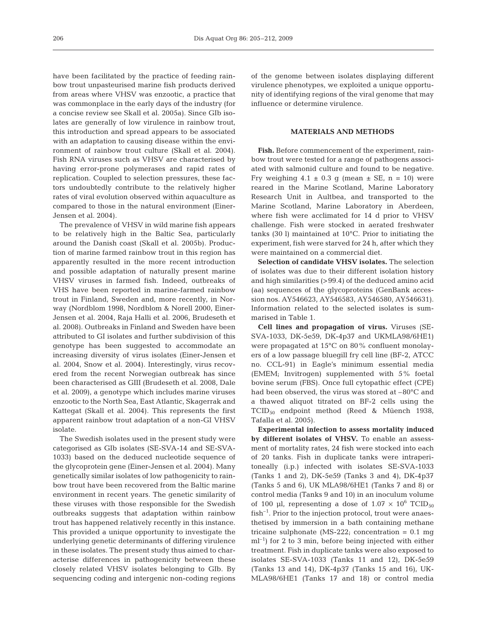have been facilitated by the practice of feeding rainbow trout unpasteurised marine fish products derived from areas where VHSV was enzootic, a practice that was commonplace in the early days of the industry (for a concise review see Skall et al. 2005a). Since GIb isolates are generally of low virulence in rainbow trout, this introduction and spread appears to be associated with an adaptation to causing disease within the environment of rainbow trout culture (Skall et al. 2004). Fish RNA viruses such as VHSV are characterised by having error-prone polymerases and rapid rates of replication. Coupled to selection pressures, these factors undoubtedly contribute to the relatively higher rates of viral evolution observed within aquaculture as compared to those in the natural environment (Einer-Jensen et al. 2004).

The prevalence of VHSV in wild marine fish appears to be relatively high in the Baltic Sea, particularly around the Danish coast (Skall et al. 2005b). Production of marine farmed rainbow trout in this region has apparently resulted in the more recent introduction and possible adaptation of naturally present marine VHSV viruses in farmed fish. Indeed, outbreaks of VHS have been reported in marine-farmed rainbow trout in Finland, Sweden and, more recently, in Norway (Nordblom 1998, Nordblom & Norell 2000, Einer-Jensen et al. 2004, Raja Halli et al. 2006, Brudeseth et al. 2008). Outbreaks in Finland and Sweden have been attributed to GI isolates and further subdivision of this genotype has been suggested to accommodate an increasing diversity of virus isolates (Einer-Jensen et al. 2004, Snow et al. 2004). Interestingly, virus recovered from the recent Norwegian outbreak has since been characterised as GIII (Brudeseth et al. 2008, Dale et al. 2009), a genotype which includes marine viruses enzootic to the North Sea, East Atlantic, Skagerrak and Kattegat (Skall et al. 2004). This represents the first apparent rainbow trout adaptation of a non-GI VHSV isolate.

The Swedish isolates used in the present study were categorised as GIb isolates (SE-SVA-14 and SE-SVA-1033) based on the deduced nucleotide sequence of the glycoprotein gene (Einer-Jensen et al. 2004). Many genetically similar isolates of low pathogenicity to rainbow trout have been recovered from the Baltic marine environment in recent years. The genetic similarity of these viruses with those responsible for the Swedish outbreaks suggests that adaptation within rainbow trout has happened relatively recently in this instance. This provided a unique opportunity to investigate the underlying genetic determinants of differing virulence in these isolates. The present study thus aimed to characterise differences in pathogenicity between these closely related VHSV isolates belonging to GIb. By sequencing coding and intergenic non-coding regions

of the genome between isolates displaying different virulence phenotypes, we exploited a unique opportunity of identifying regions of the viral genome that may influence or determine virulence.

## **MATERIALS AND METHODS**

**Fish.** Before commencement of the experiment, rainbow trout were tested for a range of pathogens associated with salmonid culture and found to be negative. Fry weighing  $4.1 \pm 0.3$  g (mean  $\pm$  SE, n = 10) were reared in the Marine Scotland, Marine Laboratory Research Unit in Aultbea, and transported to the Marine Scotland, Marine Laboratory in Aberdeen, where fish were acclimated for 14 d prior to VHSV challenge. Fish were stocked in aerated freshwater tanks (30 l) maintained at 10°C. Prior to initiating the experiment, fish were starved for 24 h, after which they were maintained on a commercial diet.

**Selection of candidate VHSV isolates.** The selection of isolates was due to their different isolation history and high similarities (>99.4) of the deduced amino acid (aa) sequences of the glycoproteins (GenBank accession nos. AY546623, AY546583, AY546580, AY546631). Information related to the selected isolates is summarised in Table 1.

**Cell lines and propagation of virus.** Viruses (SE-SVA-1033, DK-5e59, DK-4p37 and UKMLA98/6HE1) were propagated at 15°C on 80% confluent monolayers of a low passage bluegill fry cell line (BF-2, ATCC no. CCL-91) in Eagle's minimum essential media (EMEM; Invitrogen) supplemented with 5% foetal bovine serum (FBS). Once full cytopathic effect (CPE) had been observed, the virus was stored at –80°C and a thawed aliquot titrated on BF-2 cells using the TCID50 endpoint method (Reed & Müench 1938, Tafalla et al. 2005).

**Experimental infection to assess mortality induced by different isolates of VHSV.** To enable an assessment of mortality rates, 24 fish were stocked into each of 20 tanks. Fish in duplicate tanks were intraperitoneally (i.p.) infected with isolates SE-SVA-1033 (Tanks 1 and 2), DK-5e59 (Tanks 3 and 4), DK-4p37 (Tanks 5 and 6), UK MLA98/6HE1 (Tanks 7 and 8) or control media (Tanks 9 and 10) in an inoculum volume of 100 µl, representing a dose of  $1.07 \times 10^6$  TCID<sub>50</sub> fish–1. Prior to the injection protocol, trout were anaesthetised by immersion in a bath containing methane tricaine sulphonate (MS-222; concentration =  $0.1 \text{ mg}$ )  $ml<sup>-1</sup>$  for 2 to 3 min, before being injected with either treatment. Fish in duplicate tanks were also exposed to isolates SE-SVA-1033 (Tanks 11 and 12), DK-5e59 (Tanks 13 and 14), DK-4p37 (Tanks 15 and 16), UK-MLA98/6HE1 (Tanks 17 and 18) or control media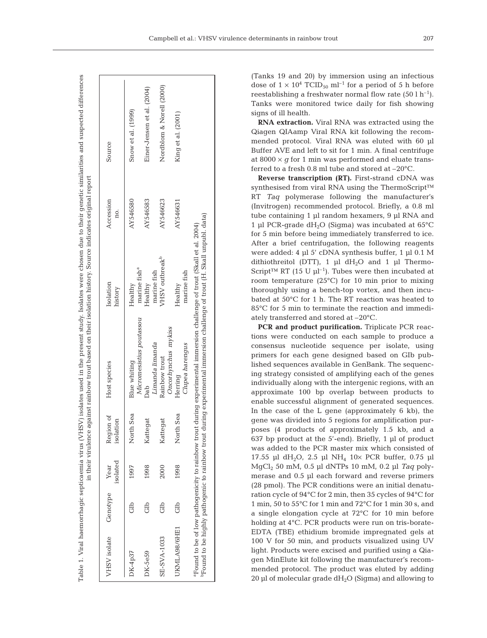|                                                             |          |                  |                        | in their virulence against rainbow trout based on their isolation history. Source indicates original report                                                                                                     |                                           |                  | Table 1. Viral haemorrhagic septicaemia virus (VHSV) isolates used in the present study. Isolates were chosen due to their genetic similarities and suspected differences |
|-------------------------------------------------------------|----------|------------------|------------------------|-----------------------------------------------------------------------------------------------------------------------------------------------------------------------------------------------------------------|-------------------------------------------|------------------|---------------------------------------------------------------------------------------------------------------------------------------------------------------------------|
| VHSV isolate                                                | Genotype | isolated<br>Year | Region of<br>isolation | Host species                                                                                                                                                                                                    | Isolation<br>history                      | Accession<br>no. | Source                                                                                                                                                                    |
| DK-4p37                                                     | Glb      | 1997             | North Sea              | Blue whiting                                                                                                                                                                                                    | Healthy                                   | AY546580         | Snow et al. (1999)                                                                                                                                                        |
| $DK-5e59$                                                   | db       | 1998             | Kattegat               | Micromesistius poutassou<br>Dab                                                                                                                                                                                 | marine fish <sup>a</sup><br>Healthy       | AY546583         | Einer-Jensen et al. (2004)                                                                                                                                                |
| <b>SE-SVA-1033</b>                                          | db       | 2000             | Kattegat               | Limanda limanda<br>Rainbow trout                                                                                                                                                                                | VHSV outbreak <sup>b</sup><br>marine fish | AY546623         | Nordblom & Norell (2000)                                                                                                                                                  |
| UKMLA98/6HE1                                                | đ        | 1998             | North Sea              | Oncorhynchus mykiss<br>Clupea harengus<br>Herring                                                                                                                                                               | marine fish<br>Healthy                    | AY546631         | King et al. (2001)                                                                                                                                                        |
| <sup>p</sup> Found to be highly pathogenic to rainbow trout |          |                  |                        | during experimental immersion challenge of trout (H. Skall unpubl. data)<br><sup>a</sup> Found to be of low pathogenicity to rainbow trout during experimental immersion challenge of trout (Skall et al. 2004) |                                           |                  |                                                                                                                                                                           |

Table 1. Viral haemorrhagic septicaemia virus (VHSV) isolates used in the present study. Isolates were chosen due to their genetic similarities and suspected differences

(Tanks 19 and 20) by immersion using an infectious dose of  $1 \times 10^4$  TCID<sub>50</sub> ml<sup>-1</sup> for a period of 5 h before reestablishing a freshwater normal flow rate  $(50 \, 1 \, h^{-1})$ . Tanks were monitored twice daily for fish showing signs of ill health.

**RNA extraction.** Viral RNA was extracted using the Qiagen QIAamp Viral RNA kit following the recommended protocol. Viral RNA was eluted with 60 µl Buffer AVE and left to sit for 1 min. A final centrifuge at  $8000 \times g$  for 1 min was performed and eluate transferred to a fresh 0.8 ml tube and stored at –20°C.

**Reverse transcription (RT).** First-strand cDNA was synthesised from viral RNA using the ThermoScript<sup>™</sup> RT *Taq* polymerase following the manufacturer's (Invitrogen) recommended protocol. Briefly, a 0.8 ml tube containing 1 µl random hexamers, 9 µl RNA and 1 µl PCR-grade  $dH_2O$  (Sigma) was incubated at 65 $^{\circ}$ C for 5 min before being immediately transferred to ice. After a brief centrifugation, the following reagents were added: 4 µl 5' cDNA synthesis buffer, 1 µl 0.1 M dithiothreitol (DTT), 1  $\mu$ l dH<sub>2</sub>O and 1  $\mu$ l Thermo-Script<sup>™</sup> RT (15 U  $\mu$ l<sup>-1</sup>). Tubes were then incubated at room temperature (25°C) for 10 min prior to mixing thoroughly using a bench-top vortex, and then incubated at 50°C for 1 h. The RT reaction was heated to 85°C for 5 min to terminate the reaction and immediately transferred and stored at –20°C.

**PCR and product purification.** Triplicate PCR reactions were conducted on each sample to produce a consensus nucleotide sequence per isolate, using primers for each gene designed based on GIb published sequences available in GenBank. The sequencing strategy consisted of amplifying each of the genes individually along with the intergenic regions, with an approximate 100 bp overlap between products to enable successful alignment of generated sequences. In the case of the L gene (approximately 6 kb), the gene was divided into 5 regions for amplification purposes (4 products of approximately 1.5 kb, and a 637 bp product at the 5'-end). Briefly, 1 µl of product was added to the PCR master mix which consisted of 17.55 µl dH<sub>2</sub>O, 2.5 µl NH<sub>4</sub> 10× PCR buffer, 0.75 µl MgCl2 50 mM, 0.5 µl dNTPs 10 mM, 0.2 µl *Taq* polymerase and 0.5 µl each forward and reverse primers (28 pmol). The PCR conditions were an initial denaturation cycle of 94°C for 2 min, then 35 cycles of 94°C for 1 min, 50 to 55°C for 1 min and 72°C for 1 min 30 s, and a single elongation cycle at 72°C for 10 min before holding at 4°C. PCR products were run on tris-borate-EDTA (TBE) ethidium bromide impregnated gels at 100 V for 50 min, and products visualized using UV light. Products were excised and purified using a Qiagen MinElute kit following the manufacturer's recommended protocol. The product was eluted by adding 20 µl of molecular grade  $dH_2O$  (Sigma) and allowing to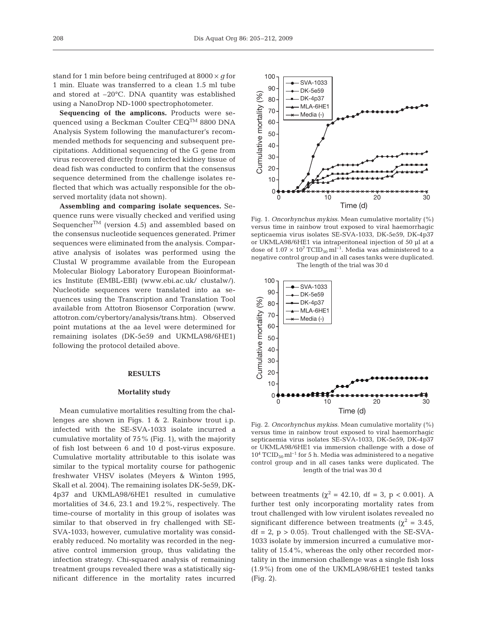stand for 1 min before being centrifuged at 8000 × *g* for 1 min. Eluate was transferred to a clean 1.5 ml tube and stored at –20°C. DNA quantity was established using a NanoDrop ND-1000 spectrophotometer.

**Sequencing of the amplicons.** Products were sequenced using a Beckman Coulter CEQTM 8800 DNA Analysis System following the manufacturer's recommended methods for sequencing and subsequent precipitations. Additional sequencing of the G gene from virus recovered directly from infected kidney tissue of dead fish was conducted to confirm that the consensus sequence determined from the challenge isolates reflected that which was actually responsible for the observed mortality (data not shown).

**Assembling and comparing isolate sequences.** Sequence runs were visually checked and verified using Sequencher<sup>TM</sup> (version 4.5) and assembled based on the consensus nucleotide sequences generated. Primer sequences were eliminated from the analysis. Comparative analysis of isolates was performed using the Clustal W programme available from the European Molecular Biology Laboratory European Bioinformatics Institute (EMBL-EBI) (www.ebi.ac.uk/ clustalw/). Nucleotide sequences were translated into aa sequences using the Transcription and Translation Tool available from Attotron Biosensor Corporation (www. attotron.com/cybertory/analysis/trans.htm). Observed point mutations at the aa level were determined for remaining isolates (DK-5e59 and UKMLA98/6HE1) following the protocol detailed above.

#### **RESULTS**

#### **Mortality study**

Mean cumulative mortalities resulting from the challenges are shown in Figs. 1 & 2. Rainbow trout i.p. infected with the SE-SVA-1033 isolate incurred a cumulative mortality of 75% (Fig. 1), with the majority of fish lost between 6 and 10 d post-virus exposure. Cumulative mortality attributable to this isolate was similar to the typical mortality course for pathogenic freshwater VHSV isolates (Meyers & Winton 1995, Skall et al. 2004). The remaining isolates DK-5e59, DK-4p37 and UKMLA98/6HE1 resulted in cumulative mortalities of 34.6, 23.1 and 19.2%, respectively. The time-course of mortality in this group of isolates was similar to that observed in fry challenged with SE-SVA-1033; however, cumulative mortality was considerably reduced. No mortality was recorded in the negative control immersion group, thus validating the infection strategy. Chi-squared analysis of remaining treatment groups revealed there was a statistically significant difference in the mortality rates incurred



Fig. 1. *Oncorhynchus mykiss*. Mean cumulative mortality (%) versus time in rainbow trout exposed to viral haemorrhagic septicaemia virus isolates SE-SVA-1033, DK-5e59, DK-4p37 or UKMLA98/6HE1 via intraperitoneal injection of 50 µl at a dose of  $1.07 \times 10^7$  TCID<sub>50</sub> ml<sup>-1</sup>. Media was administered to a negative control group and in all cases tanks were duplicated. The length of the trial was 30 d



Fig. 2. *Oncorhynchus mykiss*. Mean cumulative mortality (%) versus time in rainbow trout exposed to viral haemorrhagic septicaemia virus isolates SE-SVA-1033, DK-5e59, DK-4p37 or UKMLA98/6HE1 via immersion challenge with a dose of  $10^4$  TCID<sub>50</sub> ml<sup>-1</sup> for 5 h. Media was administered to a negative control group and in all cases tanks were duplicated. The length of the trial was 30 d

between treatments ( $χ² = 42.10$ , df = 3, p < 0.001). A further test only incorporating mortality rates from trout challenged with low virulent isolates revealed no significant difference between treatments ( $\chi^2$  = 3.45,  $df = 2$ ,  $p > 0.05$ ). Trout challenged with the SE-SVA-1033 isolate by immersion incurred a cumulative mortality of 15.4%, whereas the only other recorded mortality in the immersion challenge was a single fish loss (1.9%) from one of the UKMLA98/6HE1 tested tanks (Fig. 2).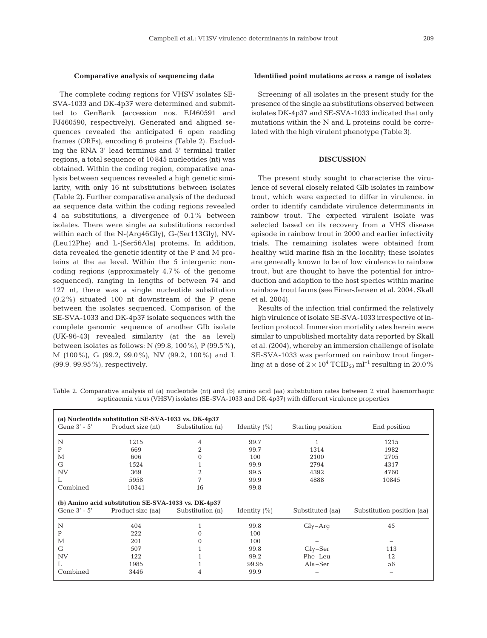## **Comparative analysis of sequencing data**

The complete coding regions for VHSV isolates SE-SVA-1033 and DK-4p37 were determined and submitted to GenBank (accession nos. FJ460591 and FJ460590, respectively). Generated and aligned sequences revealed the anticipated 6 open reading frames (ORFs), encoding 6 proteins (Table 2). Excluding the RNA 3' lead terminus and 5' terminal trailer regions, a total sequence of 10 845 nucleotides (nt) was obtained. Within the coding region, comparative analysis between sequences revealed a high genetic similarity, with only 16 nt substitutions between isolates (Table 2). Further comparative analysis of the deduced aa sequence data within the coding regions revealed 4 aa substitutions, a divergence of 0.1% between isolates. There were single aa substitutions recorded within each of the N-(Arg46Gly), G-(Ser113Gly), NV- (Leu12Phe) and L-(Ser56Ala) proteins. In addition, data revealed the genetic identity of the P and M proteins at the aa level. Within the 5 intergenic noncoding regions (approximately 4.7% of the genome sequenced), ranging in lengths of between 74 and 127 nt, there was a single nucleotide substitution (0.2%) situated 100 nt downstream of the P gene between the isolates sequenced. Comparison of the SE-SVA-1033 and DK-4p37 isolate sequences with the complete genomic sequence of another GIb isolate (UK-96-43) revealed similarity (at the aa level) between isolates as follows: N (99.8, 100%), P (99.5%), M (100%), G (99.2, 99.0%), NV (99.2, 100%) and L (99.9, 99.95%), respectively.

## **Identified point mutations across a range of isolates**

Screening of all isolates in the present study for the presence of the single aa substitutions observed between isolates DK-4p37 and SE-SVA-1033 indicated that only mutations within the N and L proteins could be correlated with the high virulent phenotype (Table 3).

### **DISCUSSION**

The present study sought to characterise the virulence of several closely related GIb isolates in rainbow trout, which were expected to differ in virulence, in order to identify candidate virulence determinants in rainbow trout. The expected virulent isolate was selected based on its recovery from a VHS disease episode in rainbow trout in 2000 and earlier infectivity trials. The remaining isolates were obtained from healthy wild marine fish in the locality; these isolates are generally known to be of low virulence to rainbow trout, but are thought to have the potential for introduction and adaption to the host species within marine rainbow trout farms (see Einer-Jensen et al. 2004, Skall et al. 2004).

Results of the infection trial confirmed the relatively high virulence of isolate SE-SVA-1033 irrespective of infection protocol. Immersion mortality rates herein were similar to unpublished mortality data reported by Skall et al. (2004), whereby an immersion challenge of isolate SE-SVA-1033 was performed on rainbow trout fingerling at a dose of  $2 \times 10^4$  TCID<sub>50</sub> ml<sup>-1</sup> resulting in 20.0%

Table 2. Comparative analysis of (a) nucleotide (nt) and (b) amino acid (aa) substitution rates between 2 viral haemorrhagic septicaemia virus (VHSV) isolates (SE-SVA-1033 and DK-4p37) with different virulence properties

| Gene $3'$ - $5'$ | Product size (nt)                                   | Substitution (n) | Identity $(\% )$ | Starting position | End position               |
|------------------|-----------------------------------------------------|------------------|------------------|-------------------|----------------------------|
| N                | 1215                                                | 4                | 99.7             | 1                 | 1215                       |
| P                | 669                                                 | 2                | 99.7             | 1314              | 1982                       |
| М                | 606                                                 | $\Omega$         | 100              | 2100              | 2705                       |
| G                | 1524                                                |                  | 99.9             | 2794              | 4317                       |
| <b>NV</b>        | 369                                                 | 2                | 99.5             | 4392              | 4760                       |
| L                | 5958                                                | 7                | 99.9             | 4888              | 10845                      |
| Combined         | 10341                                               | 16               | 99.8             |                   |                            |
|                  |                                                     |                  |                  |                   |                            |
|                  | (b) Amino acid substitution SE-SVA-1033 vs. DK-4p37 |                  |                  |                   |                            |
| Gene $3'$ - $5'$ | Product size (aa)                                   | Substitution (n) | Identity $(\% )$ | Substituted (aa)  | Substitution position (aa) |
| N                | 404                                                 |                  | 99.8             | $Gly-Arq$         | 45                         |
| P                | 222                                                 | $\Omega$         | 100              |                   |                            |
| М                | 201                                                 | $\Omega$         | 100              |                   |                            |
| G                | 507                                                 |                  | 99.8             | $Gly-Ser$         | 113                        |
| <b>NV</b>        | 122                                                 |                  | 99.2             | Phe-Leu           | 12                         |
| L                | 1985                                                |                  | 99.95            | $Ala-Ser$         | 56                         |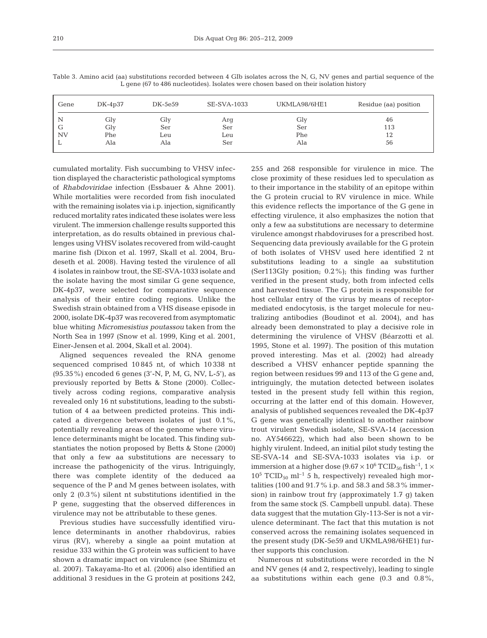| Gene      | $DK-4p37$  | DK-5e59    | SE-SVA-1033 | UKMLA98/6HE1 | Residue (aa) position |
|-----------|------------|------------|-------------|--------------|-----------------------|
| N<br>G    | Gly<br>Gly | Gly<br>Ser | Arg<br>Ser  | Gly<br>Ser   | 46<br>113             |
| <b>NV</b> | Phe        | Leu        | Leu         | Phe          | 12                    |
| ∸         | Ala        | Ala        | Ser         | Ala          | 56                    |

Table 3. Amino acid (aa) substitutions recorded between 4 GIb isolates across the N, G, NV genes and partial sequence of the L gene (67 to 486 nucleotides). Isolates were chosen based on their isolation history

cumulated mortality. Fish succumbing to VHSV infection displayed the characteristic pathological symptoms of *Rhabdoviridae* infection (Essbauer & Ahne 2001). While mortalities were recorded from fish inoculated with the remaining isolates via i.p. injection, significantly reduced mortality rates indicated these isolates were less virulent. The immersion challenge results supported this interpretation, as do results obtained in previous challenges using VHSV isolates recovered from wild-caught marine fish (Dixon et al. 1997, Skall et al. 2004, Brudeseth et al. 2008). Having tested the virulence of all 4 isolates in rainbow trout, the SE-SVA-1033 isolate and the isolate having the most similar G gene sequence, DK-4p37, were selected for comparative sequence analysis of their entire coding regions. Unlike the Swedish strain obtained from a VHS disease episode in 2000, isolate DK-4p37 was recovered from asymptomatic blue whiting *Micromesistius poutassou* taken from the North Sea in 1997 (Snow et al. 1999, King et al. 2001, Einer-Jensen et al. 2004, Skall et al. 2004).

Aligned sequences revealed the RNA genome sequenced comprised 10 845 nt, of which 10 338 nt (95.35%) encoded 6 genes (3'-N, P, M, G, NV, L-5'), as previously reported by Betts & Stone (2000). Collectively across coding regions, comparative analysis revealed only 16 nt substitutions, leading to the substitution of 4 aa between predicted proteins. This indicated a divergence between isolates of just 0.1%, potentially revealing areas of the genome where virulence determinants might be located. This finding substantiates the notion proposed by Betts & Stone (2000) that only a few aa substitutions are necessary to increase the pathogenicity of the virus. Intriguingly, there was complete identity of the deduced aa sequence of the P and M genes between isolates, with only 2 (0.3%) silent nt substitutions identified in the P gene, suggesting that the observed differences in virulence may not be attributable to these genes.

Previous studies have successfully identified virulence determinants in another rhabdovirus, rabies virus (RV), whereby a single aa point mutation at residue 333 within the G protein was sufficient to have shown a dramatic impact on virulence (see Shimizu et al. 2007). Takayama-Ito et al. (2006) also identified an additional 3 residues in the G protein at positions 242, 255 and 268 responsible for virulence in mice. The close proximity of these residues led to speculation as to their importance in the stability of an epitope within the G protein crucial to RV virulence in mice. While this evidence reflects the importance of the G gene in effecting virulence, it also emphasizes the notion that only a few aa substitutions are necessary to determine virulence amongst rhabdoviruses for a prescribed host. Sequencing data previously available for the G protein of both isolates of VHSV used here identified 2 nt substitutions leading to a single aa substitution (Ser113Gly position; 0.2%); this finding was further verified in the present study, both from infected cells and harvested tissue. The G protein is responsible for host cellular entry of the virus by means of receptormediated endocytosis, is the target molecule for neutralizing antibodies (Boudinot et al. 2004), and has already been demonstrated to play a decisive role in determining the virulence of VHSV (Béarzotti et al. 1995, Stone et al. 1997). The position of this mutation proved interesting. Mas et al. (2002) had already described a VHSV enhancer peptide spanning the region between residues 99 and 113 of the G gene and, intriguingly, the mutation detected between isolates tested in the present study fell within this region, occurring at the latter end of this domain. However, analysis of published sequences revealed the DK-4p37 G gene was genetically identical to another rainbow trout virulent Swedish isolate, SE-SVA-14 (accession no. AY546622), which had also been shown to be highly virulent. Indeed, an initial pilot study testing the SE-SVA-14 and SE-SVA-1033 isolates via i.p. or immersion at a higher dose  $(9.67 \times 10^6 \text{ TCID}_{50} \text{ fish}^{-1}$ ,  $1 \times$  $10^5$  TCID<sub>50</sub> ml<sup>-1</sup> 5 h, respectively) revealed high mortalities (100 and 91.7% i.p. and 58.3 and 58.3% immersion) in rainbow trout fry (approximately 1.7 g) taken from the same stock (S. Campbell unpubl. data). These data suggest that the mutation Gly-113-Ser is not a virulence determinant. The fact that this mutation is not conserved across the remaining isolates sequenced in the present study (DK-5e59 and UKMLA98/6HE1) further supports this conclusion.

Numerous nt substitutions were recorded in the N and NV genes (4 and 2, respectively), leading to single aa substitutions within each gene (0.3 and 0.8%,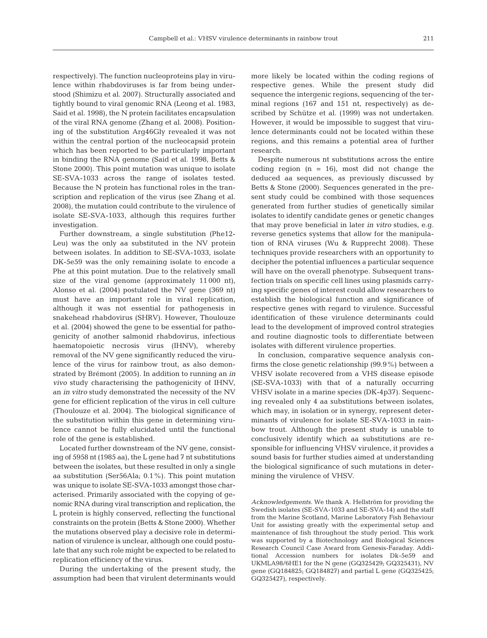respectively). The function nucleoproteins play in virulence within rhabdoviruses is far from being understood (Shimizu et al. 2007). Structurally associated and tightly bound to viral genomic RNA (Leong et al. 1983, Said et al. 1998), the N protein facilitates encapsulation of the viral RNA genome (Zhang et al. 2008). Positioning of the substitution Arg46Gly revealed it was not within the central portion of the nucleocapsid protein which has been reported to be particularly important in binding the RNA genome (Said et al. 1998, Betts & Stone 2000). This point mutation was unique to isolate SE-SVA-1033 across the range of isolates tested. Because the N protein has functional roles in the transcription and replication of the virus (see Zhang et al. 2008), the mutation could contribute to the virulence of isolate SE-SVA-1033, although this requires further investigation.

Further downstream, a single substitution (Phe12- Leu) was the only aa substituted in the NV protein between isolates. In addition to SE-SVA-1033, isolate DK-5e59 was the only remaining isolate to encode a Phe at this point mutation. Due to the relatively small size of the viral genome (approximately 11 000 nt), Alonso et al. (2004) postulated the NV gene (369 nt) must have an important role in viral replication, although it was not essential for pathogenesis in snakehead rhabdovirus (SHRV). However, Thoulouze et al. (2004) showed the gene to be essential for pathogenicity of another salmonid rhabdovirus, infectious haematopoietic necrosis virus (IHNV), whereby removal of the NV gene significantly reduced the virulence of the virus for rainbow trout, as also demonstrated by Brémont (2005). In addition to running an *in vivo* study characterising the pathogenicity of IHNV, an *in vitro* study demonstrated the necessity of the NV gene for efficient replication of the virus in cell culture (Thoulouze et al. 2004). The biological significance of the substitution within this gene in determining virulence cannot be fully elucidated until the functional role of the gene is established.

Located further downstream of the NV gene, consisting of 5958 nt (1985 aa), the L gene had 7 nt substitutions between the isolates, but these resulted in only a single aa substitution (Ser56Ala; 0.1%). This point mutation was unique to isolate SE-SVA-1033 amongst those characterised. Primarily associated with the copying of genomic RNA during viral transcription and replication, the L protein is highly conserved, reflecting the functional constraints on the protein (Betts & Stone 2000). Whether the mutations observed play a decisive role in determination of virulence is unclear, although one could postulate that any such role might be expected to be related to replication efficiency of the virus.

During the undertaking of the present study, the assumption had been that virulent determinants would more likely be located within the coding regions of respective genes. While the present study did sequence the intergenic regions, sequencing of the terminal regions (167 and 151 nt, respectively) as described by Schütze et al. (1999) was not undertaken. However, it would be impossible to suggest that virulence determinants could not be located within these regions, and this remains a potential area of further research.

Despite numerous nt substitutions across the entire coding region  $(n = 16)$ , most did not change the deduced aa sequences, as previously discussed by Betts & Stone (2000). Sequences generated in the present study could be combined with those sequences generated from further studies of genetically similar isolates to identify candidate genes or genetic changes that may prove beneficial in later *in vitro* studies, e.g. reverse genetics systems that allow for the manipulation of RNA viruses (Wu & Rupprecht 2008). These techniques provide researchers with an opportunity to decipher the potential influences a particular sequence will have on the overall phenotype. Subsequent transfection trials on specific cell lines using plasmids carrying specific genes of interest could allow researchers to establish the biological function and significance of respective genes with regard to virulence. Successful identification of these virulence determinants could lead to the development of improved control strategies and routine diagnostic tools to differentiate between isolates with different virulence properties.

In conclusion, comparative sequence analysis confirms the close genetic relationship (99.9%) between a VHSV isolate recovered from a VHS disease episode (SE-SVA-1033) with that of a naturally occurring VHSV isolate in a marine species (DK-4p37). Sequencing revealed only 4 aa substitutions between isolates, which may, in isolation or in synergy, represent determinants of virulence for isolate SE-SVA-1033 in rainbow trout. Although the present study is unable to conclusively identify which aa substitutions are responsible for influencing VHSV virulence, it provides a sound basis for further studies aimed at understanding the biological significance of such mutations in determining the virulence of VHSV.

*Acknowledgements.* We thank A. Hellström for providing the Swedish isolates (SE-SVA-1033 and SE-SVA-14) and the staff from the Marine Scotland, Marine Laboratory Fish Behaviour Unit for assisting greatly with the experimental setup and maintenance of fish throughout the study period. This work was supported by a Biotechnology and Biological Sciences Research Council Case Award from Genesis-Faraday. Additional Accession numbers for isolates Dk-5e59 and UKMLA98/6HE1 for the N gene (GQ325429; GQ325431), NV gene (GQ184825; GQ184827) and partial L gene (GQ325425; GQ325427), respectively.